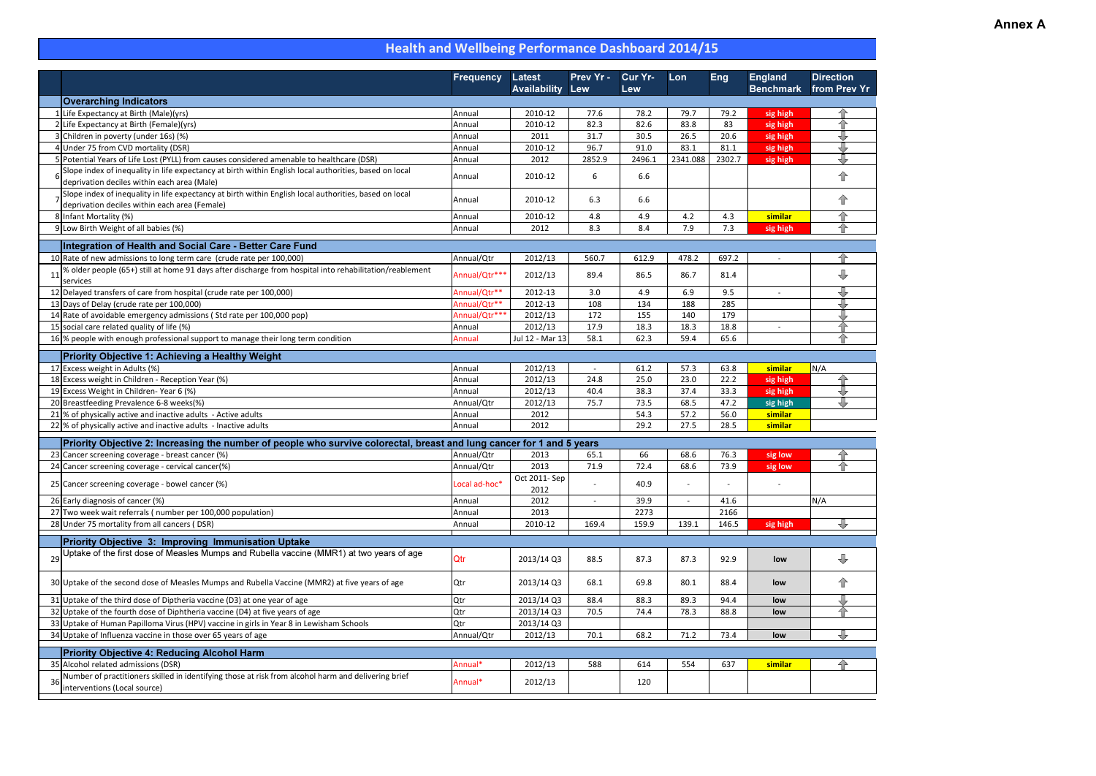## Annex A

|    |                                                                                                                                                                            | <b>Frequency</b> | <b>Latest</b><br><b>Availability</b> | Prev Yr -<br>Lew | <b>Cur Yr-</b><br>Lew | Lon      | <b>Eng</b> | <b>England</b><br><b>Benchmark</b> | <b>Direction</b><br>from Prev Yr |
|----|----------------------------------------------------------------------------------------------------------------------------------------------------------------------------|------------------|--------------------------------------|------------------|-----------------------|----------|------------|------------------------------------|----------------------------------|
|    | <b>Overarching Indicators</b>                                                                                                                                              |                  |                                      |                  |                       |          |            |                                    |                                  |
|    | 1 Life Expectancy at Birth (Male)(yrs)                                                                                                                                     | Annual           | 2010-12                              | 77.6             | 78.2                  | 79.7     | 79.2       | sig high                           | 47                               |
|    | 2 Life Expectancy at Birth (Female)(yrs)                                                                                                                                   | Annual           | 2010-12                              | 82.3             | 82.6                  | 83.8     | 83         | sig high                           | 仐                                |
|    | 3 Children in poverty (under 16s) (%)                                                                                                                                      | Annual           | 2011                                 | 31.7             | 30.5                  | 26.5     | 20.6       | sig high                           | ₩                                |
|    | 4 Under 75 from CVD mortality (DSR)                                                                                                                                        | Annual           | 2010-12                              | 96.7             | 91.0                  | 83.1     | 81.1       | sig high                           | ⇩                                |
|    | 5 Potential Years of Life Lost (PYLL) from causes considered amenable to healthcare (DSR)                                                                                  | Annual           | 2012                                 | 2852.9           | 2496.1                | 2341.088 | 2302.7     | sig high                           | ⇩                                |
|    | Slope index of inequality in life expectancy at birth within English local authorities, based on local<br>deprivation deciles within each area (Male)                      | Annual           | 2010-12                              | 6                | 6.6                   |          |            |                                    | 企                                |
|    | Slope index of inequality in life expectancy at birth within English local authorities, based on local<br>deprivation deciles within each area (Female)                    | Annual           | 2010-12                              | 6.3              | 6.6                   |          |            |                                    | 企                                |
|    | 8 Infant Mortality (%)                                                                                                                                                     | Annual           | 2010-12                              | 4.8              | 4.9                   | 4.2      | 4.3        | similar                            | 仐                                |
|    | 9 Low Birth Weight of all babies (%)                                                                                                                                       | Annual           | 2012                                 | 8.3              | 8.4                   | 7.9      | 7.3        | sig high                           | ਜ                                |
|    |                                                                                                                                                                            |                  |                                      |                  |                       |          |            |                                    |                                  |
|    | Integration of Health and Social Care - Better Care Fund                                                                                                                   |                  |                                      |                  |                       |          |            |                                    |                                  |
|    | 10 Rate of new admissions to long term care (crude rate per 100,000)                                                                                                       | Annual/Qtr       | 2012/13                              | 560.7            | 612.9                 | 478.2    | 697.2      | $\omega$                           | 42                               |
| 11 | % older people (65+) still at home 91 days after discharge from hospital into rehabilitation/reablement<br>services                                                        | Annual/Qtr***    | 2012/13                              | 89.4             | 86.5                  | 86.7     | 81.4       |                                    | ⇩                                |
|    | 12 Delayed transfers of care from hospital (crude rate per 100,000)                                                                                                        | Annual/Qtr**     | 2012-13                              | 3.0              | 4.9                   | 6.9      | 9.5        |                                    | ₩                                |
|    | 13 Days of Delay (crude rate per 100,000)                                                                                                                                  | Annual/Qtr**     | 2012-13                              | 108              | 134                   | 188      | 285        |                                    |                                  |
|    | 14 Rate of avoidable emergency admissions (Std rate per 100,000 pop)                                                                                                       | Annual/Qtr***    | 2012/13                              | 172              | 155                   | 140      | 179        |                                    | ₩                                |
|    | 15 social care related quality of life (%)                                                                                                                                 | Annual           | 2012/13                              | 17.9             | 18.3                  | 18.3     | 18.8       |                                    | 슈                                |
|    | 16 % people with enough professional support to manage their long term condition                                                                                           | Annual           | Jul 12 - Mar 13                      | 58.1             | 62.3                  | 59.4     | 65.6       |                                    |                                  |
|    | <b>Priority Objective 1: Achieving a Healthy Weight</b>                                                                                                                    |                  |                                      |                  |                       |          |            |                                    |                                  |
|    | 17 Excess weight in Adults (%)                                                                                                                                             | Annual           | 2012/13                              |                  | 61.2                  | 57.3     | 63.8       | similar                            | N/A                              |
|    | 18 Excess weight in Children - Reception Year (%)                                                                                                                          | Annual           | 2012/13                              | 24.8             | 25.0                  | 23.0     | 22.2       | sig high                           | 42                               |
|    | 19 Excess Weight in Children-Year 6 (%)                                                                                                                                    | Annual           | 2012/13                              | 40.4             | 38.3                  | 37.4     | 33.3       | sig high                           |                                  |
|    | 20 Breastfeeding Prevalence 6-8 weeks(%)                                                                                                                                   | Annual/Qtr       | 2012/13                              | 75.7             | 73.5                  | 68.5     | 47.2       | sig high                           | ⊕                                |
|    | 21 % of physically active and inactive adults - Active adults                                                                                                              | Annual           | 2012                                 |                  | 54.3                  | 57.2     | 56.0       | similar                            |                                  |
|    | 22 % of physically active and inactive adults - Inactive adults                                                                                                            | Annual           | 2012                                 |                  | 29.2                  | 27.5     | 28.5       | similar                            |                                  |
|    |                                                                                                                                                                            |                  |                                      |                  |                       |          |            |                                    |                                  |
|    | Priority Objective 2: Increasing the number of people who survive colorectal, breast and lung cancer for 1 and 5 years<br>23 Cancer screening coverage - breast cancer (%) | Annual/Qtr       | 2013                                 | 65.1             | 66                    | 68.6     | 76.3       |                                    |                                  |
|    | 24 Cancer screening coverage - cervical cancer(%)                                                                                                                          | Annual/Qtr       | 2013                                 | 71.9             | 72.4                  | 68.6     | 73.9       | sig low<br>sig low                 | 合                                |
|    |                                                                                                                                                                            |                  | Oct 2011- Sep                        |                  |                       |          |            |                                    |                                  |
|    | 25 Cancer screening coverage - bowel cancer (%)                                                                                                                            | Local ad-hoc*    | 2012                                 |                  | 40.9                  |          |            |                                    |                                  |
|    | 26 Early diagnosis of cancer (%)                                                                                                                                           | Annual           | 2012                                 |                  | 39.9                  |          | 41.6       |                                    | N/A                              |
|    | 27 Two week wait referrals (number per 100,000 population)                                                                                                                 | Annual           | 2013                                 |                  | 2273                  |          | 2166       |                                    |                                  |
|    | 28 Under 75 mortality from all cancers (DSR)                                                                                                                               | Annual           | 2010-12                              | 169.4            | 159.9                 | 139.1    | 146.5      | sig high                           |                                  |
|    | <b>Priority Objective 3: Improving Immunisation Uptake</b>                                                                                                                 |                  |                                      |                  |                       |          |            |                                    |                                  |
| 29 | Uptake of the first dose of Measles Mumps and Rubella vaccine (MMR1) at two years of age                                                                                   | Qtr              | 2013/14 Q3                           | 88.5             | 87.3                  | 87.3     | 92.9       | low                                | $\overline{\mathbb{U}}$          |
|    | 30 Uptake of the second dose of Measles Mumps and Rubella Vaccine (MMR2) at five years of age                                                                              | Qtr              | 2013/14 Q3                           | 68.1             | 69.8                  | 80.1     | 88.4       | low                                | ⇧                                |
|    | 31 Uptake of the third dose of Diptheria vaccine (D3) at one year of age                                                                                                   | Qtr              | 2013/14 Q3                           | 88.4             | 88.3                  | 89.3     | 94.4       | low                                |                                  |
|    | 32 Uptake of the fourth dose of Diphtheria vaccine (D4) at five years of age                                                                                               | Qtr              | 2013/14 Q3                           | 70.5             | 74.4                  | 78.3     | 88.8       | low                                | ਜ                                |
|    | 33 Uptake of Human Papilloma Virus (HPV) vaccine in girls in Year 8 in Lewisham Schools                                                                                    | Qtr              | 2013/14 Q3                           |                  |                       |          |            |                                    |                                  |
|    | 34 Uptake of Influenza vaccine in those over 65 years of age                                                                                                               | Annual/Qtr       | 2012/13                              | 70.1             | 68.2                  | 71.2     | 73.4       | low                                | ₹                                |
|    | <b>Priority Objective 4: Reducing Alcohol Harm</b>                                                                                                                         |                  |                                      |                  |                       |          |            |                                    |                                  |
|    | 35 Alcohol related admissions (DSR)                                                                                                                                        | Annual*          | 2012/13                              | 588              | 614                   | 554      | 637        | similar                            | 仐                                |
| 36 | Number of practitioners skilled in identifying those at risk from alcohol harm and delivering brief                                                                        | Annual*          | 2012/13                              |                  | 120                   |          |            |                                    |                                  |
|    | interventions (Local source)                                                                                                                                               |                  |                                      |                  |                       |          |            |                                    |                                  |

# Health and Wellbeing Performance Dashboard 2014/15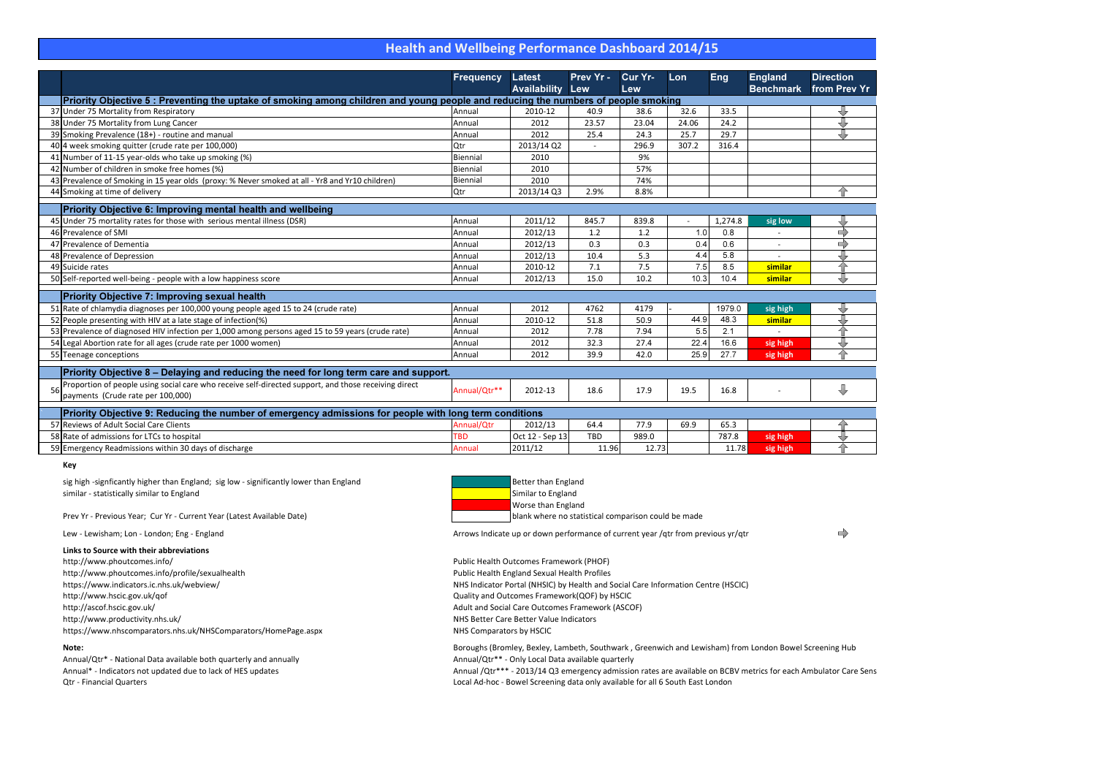### Health and Wellbeing Performance Dashboard 2014/15

|                                                                                                        |                                                                                                                                   | <b>Frequency</b> | <b>Latest</b>       | Prev Yr -  | Cur Yr- | Lon   | Eng     | <b>England</b>   | <b>Direction</b> |
|--------------------------------------------------------------------------------------------------------|-----------------------------------------------------------------------------------------------------------------------------------|------------------|---------------------|------------|---------|-------|---------|------------------|------------------|
|                                                                                                        |                                                                                                                                   |                  | <b>Availability</b> | Lew        | Lew     |       |         | <b>Benchmark</b> | from Prev Yr     |
|                                                                                                        | Priority Objective 5: Preventing the uptake of smoking among children and young people and reducing the numbers of people smoking |                  |                     |            |         |       |         |                  |                  |
|                                                                                                        | 37 Under 75 Mortality from Respiratory                                                                                            | Annual           | 2010-12             | 40.9       | 38.6    | 32.6  | 33.5    |                  |                  |
|                                                                                                        | 38 Under 75 Mortality from Lung Cancer                                                                                            | Annual           | 2012                | 23.57      | 23.04   | 24.06 | 24.2    |                  | ⇩                |
|                                                                                                        | 39 Smoking Prevalence (18+) - routine and manual                                                                                  | Annual           | 2012                | 25.4       | 24.3    | 25.7  | 29.7    |                  | ⇩                |
|                                                                                                        | 40 4 week smoking quitter (crude rate per 100,000)                                                                                | Qtr              | 2013/14 Q2          |            | 296.9   | 307.2 | 316.4   |                  |                  |
|                                                                                                        | 41 Number of 11-15 year-olds who take up smoking (%)                                                                              | Biennial         | 2010                |            | 9%      |       |         |                  |                  |
|                                                                                                        | 42 Number of children in smoke free homes (%)                                                                                     | Biennial         | 2010                |            | 57%     |       |         |                  |                  |
|                                                                                                        | 43 Prevalence of Smoking in 15 year olds (proxy: % Never smoked at all - Yr8 and Yr10 children)                                   | Biennial         | 2010                |            | 74%     |       |         |                  |                  |
|                                                                                                        | 44 Smoking at time of delivery                                                                                                    | Qtr              | 2013/14 Q3          | 2.9%       | 8.8%    |       |         |                  | 分                |
|                                                                                                        | <b>Priority Objective 6: Improving mental health and wellbeing</b>                                                                |                  |                     |            |         |       |         |                  |                  |
|                                                                                                        | 45 Under 75 mortality rates for those with serious mental illness (DSR)                                                           | Annual           | 2011/12             | 845.7      | 839.8   |       | 1,274.8 | sig low          |                  |
|                                                                                                        | 46 Prevalence of SMI                                                                                                              | Annual           | 2012/13             | 1.2        | 1.2     | 1.0   | 0.8     |                  | $\Rightarrow$    |
|                                                                                                        | 47 Prevalence of Dementia                                                                                                         | Annual           | 2012/13             | 0.3        | 0.3     | 0.4   | 0.6     |                  | $\Rightarrow$    |
|                                                                                                        | 48 Prevalence of Depression                                                                                                       | Annual           | 2012/13             | 10.4       | 5.3     | 4.4   | 5.8     |                  |                  |
|                                                                                                        | 49 Suicide rates                                                                                                                  | Annual           | 2010-12             | 7.1        | 7.5     | 7.5   | 8.5     | similar          | △                |
|                                                                                                        | 50 Self-reported well-being - people with a low happiness score                                                                   | Annual           | 2012/13             | 15.0       | 10.2    | 10.3  | 10.4    | similar          | ⇩                |
|                                                                                                        |                                                                                                                                   |                  |                     |            |         |       |         |                  |                  |
|                                                                                                        | <b>Priority Objective 7: Improving sexual health</b>                                                                              |                  |                     |            |         |       |         |                  |                  |
|                                                                                                        | 51 Rate of chlamydia diagnoses per 100,000 young people aged 15 to 24 (crude rate)                                                | Annual           | 2012                | 4762       | 4179    |       | 1979.0  | sig high         |                  |
|                                                                                                        | 52 People presenting with HIV at a late stage of infection(%)                                                                     | Annual           | 2010-12             | 51.8       | 50.9    | 44.9  | 48.3    | similar          | U                |
|                                                                                                        | 53 Prevalence of diagnosed HIV infection per 1,000 among persons aged 15 to 59 years (crude rate)                                 | Annual           | 2012                | 7.78       | 7.94    | 5.5   | 2.1     |                  | △                |
|                                                                                                        | 54 Legal Abortion rate for all ages (crude rate per 1000 women)                                                                   | Annual           | 2012                | 32.3       | 27.4    | 22.4  | 16.6    | sig high         | ⇩                |
|                                                                                                        | 55 Teenage conceptions                                                                                                            | Annual           | 2012                | 39.9       | 42.0    | 25.9  | 27.7    | sig high         | 合                |
|                                                                                                        | Priority Objective 8 - Delaying and reducing the need for long term care and support.                                             |                  |                     |            |         |       |         |                  |                  |
|                                                                                                        | Proportion of people using social care who receive self-directed support, and those receiving direct                              |                  |                     |            |         |       |         |                  |                  |
|                                                                                                        | payments (Crude rate per 100,000)                                                                                                 | Annual/Qtr**     | 2012-13             | 18.6       | 17.9    | 19.5  | 16.8    |                  | ⇩                |
| Priority Objective 9: Reducing the number of emergency admissions for people with long term conditions |                                                                                                                                   |                  |                     |            |         |       |         |                  |                  |
|                                                                                                        | 57 Reviews of Adult Social Care Clients                                                                                           | Annual/Qtr       | 2012/13             | 64.4       | 77.9    | 69.9  | 65.3    |                  |                  |
|                                                                                                        | 58 Rate of admissions for LTCs to hospital                                                                                        | <b>TBD</b>       | Oct 12 - Sep 13     | <b>TBD</b> | 989.0   |       | 787.8   | sig high         |                  |
|                                                                                                        | 59 Emergency Readmissions within 30 days of discharge                                                                             | Annual           | 2011/12             | 11.96      | 12.73   |       | 11.78   | sig high         | △                |

sig high -signficantly higher than England; sig low - significantly lower than Englandsimilar - statistically similar to Englandd **Example 2018** Similar to England and Similar to England and Similar to England

> Annual /Qtr\*\*\* - 2013/14 Q3 emergency admission rates are available on BCBV metrics for each Ambulator Care Sens Local Ad-hoc - Bowel Screening data only available for all 6 South East London

 $\Rightarrow$ 

#### Key

| d | Better than England       |
|---|---------------------------|
|   | Similar to England        |
|   | <b>Worse than England</b> |
|   | blank where no stat       |

gland

Prev Yr - Previous Year; Cur Yr - Current Year (Latest Available Date)

blank where no statistical comparison could be made

Lew - Lewisham; Lon - London; Eng - England

Arrows Indicate up or down performance of current year /qtr from previous yr/qtr

#### Links to Source with their abbreviations

http://www.phoutcomes.info/http://www.phoutcomes.info/profile/sexualhealthhttps://www.indicators.ic.nhs.uk/webview/http://www.hscic.gov.uk/qofhttp://ascof.hscic.gov.uk/http://www.productivity.nhs.uk/https://www.nhscomparators.nhs.uk/NHSComparators/HomePage.aspx

 Public Health Outcomes Framework (PHOF) Public Health England Sexual Health Profiles NHS Indicator Portal (NHSIC) by Health and Social Care Information Centre (HSCIC) Quality and Outcomes Framework(QOF) by HSCIC Adult and Social Care Outcomes Framework (ASCOF) NHS Better Care Better Value Indicators NHS Comparators by HSCIC

#### Note:

 Boroughs (Bromley, Bexley, Lambeth, Southwark , Greenwich and Lewisham) from London Bowel Screening HubAnnual/Qtr\*\* - Only Local Data available quarterly

Annual/Qtr\* - National Data available both quarterly and annuallyAnnual\* - Indicators not updated due to lack of HES updatesQtr - Financial Quarters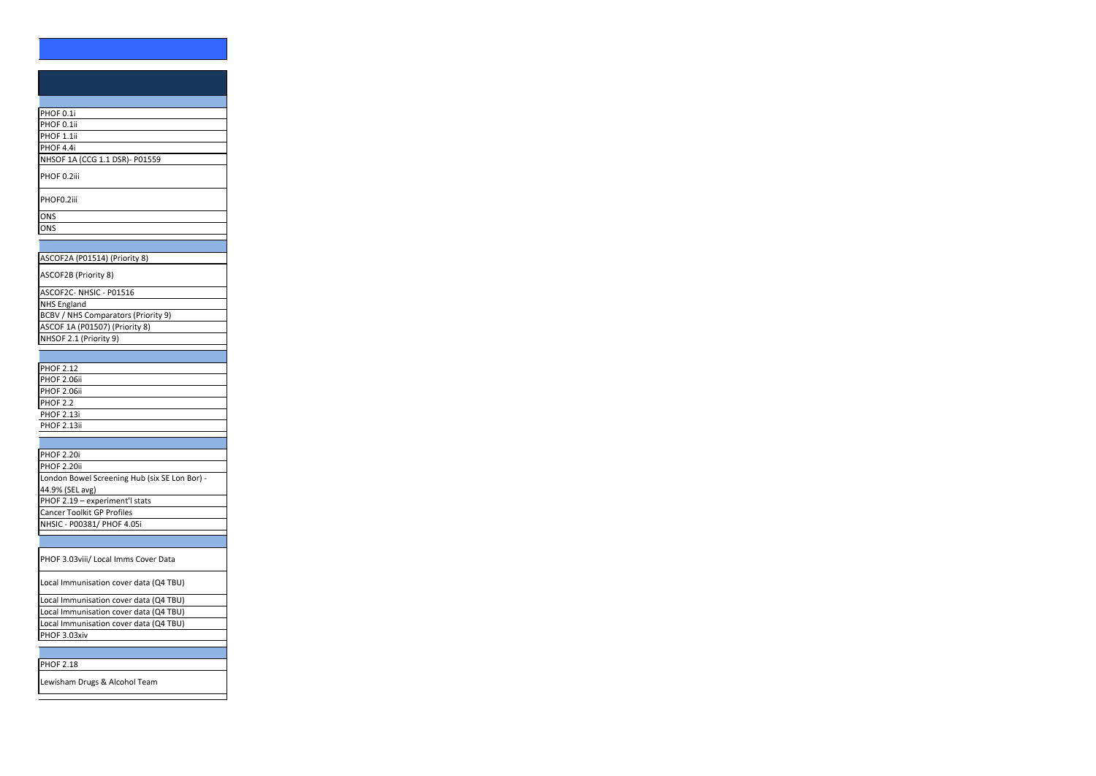| PHOF 0.1i                                              |  |
|--------------------------------------------------------|--|
| PHOF 0.1ii                                             |  |
| PHOF 1.1ii                                             |  |
| PHOF 4.4i                                              |  |
| NHSOF 1A (CCG 1.1 DSR)- P01559                         |  |
| PHOF 0.2iii                                            |  |
| PHOF0.2iii                                             |  |
| ONS                                                    |  |
| ONS                                                    |  |
|                                                        |  |
| ASCOF2A (P01514) (Priority 8)                          |  |
|                                                        |  |
| ASCOF2B (Priority 8)                                   |  |
| ASCOF2C- NHSIC - P01516                                |  |
| <b>NHS England</b>                                     |  |
| <b>BCBV / NHS Comparators (Priority 9)</b>             |  |
| ASCOF 1A (P01507) (Priority 8)                         |  |
| NHSOF 2.1 (Priority 9)                                 |  |
|                                                        |  |
| <b>PHOF 2.12</b>                                       |  |
| <b>PHOF 2.06ii</b>                                     |  |
| <b>PHOF 2.06ii</b>                                     |  |
| <b>PHOF 2.2</b>                                        |  |
| <b>PHOF 2.13i</b>                                      |  |
| PHOF 2.13ii                                            |  |
|                                                        |  |
| <b>PHOF 2.20i</b>                                      |  |
| <b>PHOF 2.20ii</b>                                     |  |
| London Bowel Screening Hub (six SE Lon Bor) -          |  |
| 44.9% (SEL avg)                                        |  |
| PHOF 2.19 - experiment'l stats                         |  |
| <b>Cancer Toolkit GP Profiles</b>                      |  |
| NHSIC - P00381/ PHOF 4.05i                             |  |
|                                                        |  |
|                                                        |  |
| PHOF 3.03viii/ Local Imms Cover Data                   |  |
| Local Immunisation cover data (Q4 TBU)                 |  |
|                                                        |  |
| Local Immunisation cover data (Q4 TBU)                 |  |
| Local Immunisation cover data (Q4 TBU)                 |  |
| Local Immunisation cover data (Q4 TBU)<br>PHOF 3.03xiv |  |

Lewisham Drugs & Alcohol Team